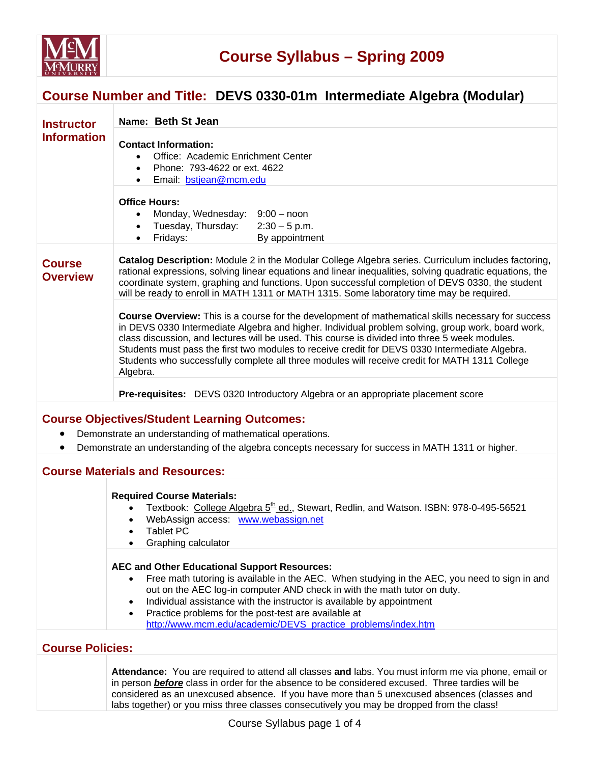

## **Course Number and Title: DEVS 0330-01m Intermediate Algebra (Modular)**

| <b>Instructor</b>                | Name: Beth St Jean                                                                                                                                                                                                                                                                                                                                                                                                                                                                                                        |  |  |  |  |
|----------------------------------|---------------------------------------------------------------------------------------------------------------------------------------------------------------------------------------------------------------------------------------------------------------------------------------------------------------------------------------------------------------------------------------------------------------------------------------------------------------------------------------------------------------------------|--|--|--|--|
| <b>Information</b>               | <b>Contact Information:</b><br>Office: Academic Enrichment Center<br>Phone: 793-4622 or ext. 4622<br>$\bullet$<br>Email: bstjean@mcm.edu                                                                                                                                                                                                                                                                                                                                                                                  |  |  |  |  |
|                                  | <b>Office Hours:</b><br>Monday, Wednesday: 9:00 - noon<br>Tuesday, Thursday:<br>$2:30 - 5$ p.m.<br>By appointment<br>Fridays:<br>$\bullet$                                                                                                                                                                                                                                                                                                                                                                                |  |  |  |  |
| <b>Course</b><br><b>Overview</b> | Catalog Description: Module 2 in the Modular College Algebra series. Curriculum includes factoring,<br>rational expressions, solving linear equations and linear inequalities, solving quadratic equations, the<br>coordinate system, graphing and functions. Upon successful completion of DEVS 0330, the student<br>will be ready to enroll in MATH 1311 or MATH 1315. Some laboratory time may be required.                                                                                                            |  |  |  |  |
|                                  | Course Overview: This is a course for the development of mathematical skills necessary for success<br>in DEVS 0330 Intermediate Algebra and higher. Individual problem solving, group work, board work,<br>class discussion, and lectures will be used. This course is divided into three 5 week modules.<br>Students must pass the first two modules to receive credit for DEVS 0330 Intermediate Algebra.<br>Students who successfully complete all three modules will receive credit for MATH 1311 College<br>Algebra. |  |  |  |  |
|                                  | <b>Pre-requisites:</b> DEVS 0320 Introductory Algebra or an appropriate placement score                                                                                                                                                                                                                                                                                                                                                                                                                                   |  |  |  |  |
|                                  | <b>Course Objectives/Student Learning Outcomes:</b>                                                                                                                                                                                                                                                                                                                                                                                                                                                                       |  |  |  |  |
|                                  | Demonstrate an understanding of mathematical operations.                                                                                                                                                                                                                                                                                                                                                                                                                                                                  |  |  |  |  |
| $\bullet$                        | Demonstrate an understanding of the algebra concepts necessary for success in MATH 1311 or higher.                                                                                                                                                                                                                                                                                                                                                                                                                        |  |  |  |  |
|                                  | <b>Course Materials and Resources:</b>                                                                                                                                                                                                                                                                                                                                                                                                                                                                                    |  |  |  |  |
|                                  | <b>Required Course Materials:</b><br>Textbook: College Algebra $5^{\text{th}}$ ed., Stewart, Redlin, and Watson. ISBN: 978-0-495-56521<br>$\bullet$<br>WebAssign access: www.webassign.net<br>$\bullet$<br><b>Tablet PC</b><br>$\bullet$<br>Graphing calculator                                                                                                                                                                                                                                                           |  |  |  |  |
|                                  | <b>AEC and Other Educational Support Resources:</b><br>Free math tutoring is available in the AEC. When studying in the AEC, you need to sign in and<br>out on the AEC log-in computer AND check in with the math tutor on duty.<br>Individual assistance with the instructor is available by appointment<br>٠<br>Practice problems for the post-test are available at<br>$\bullet$<br>http://www.mcm.edu/academic/DEVS_practice_problems/index.htm                                                                       |  |  |  |  |

#### **Course Policies:**

**Attendance:** You are required to attend all classes **and** labs. You must inform me via phone, email or in person *before* class in order for the absence to be considered excused. Three tardies will be considered as an unexcused absence. If you have more than 5 unexcused absences (classes and labs together) or you miss three classes consecutively you may be dropped from the class!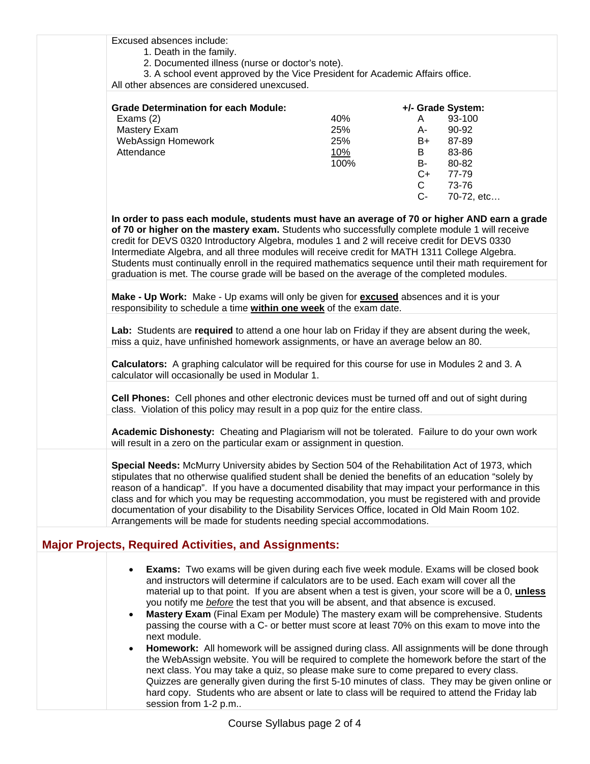| Excused absences include:                                                                                                                                                                                                                                                                                                                                                                                                                                                                                                                                                                            |                                                                                                                                                                                                                                                                                                        |              |                   |  |  |
|------------------------------------------------------------------------------------------------------------------------------------------------------------------------------------------------------------------------------------------------------------------------------------------------------------------------------------------------------------------------------------------------------------------------------------------------------------------------------------------------------------------------------------------------------------------------------------------------------|--------------------------------------------------------------------------------------------------------------------------------------------------------------------------------------------------------------------------------------------------------------------------------------------------------|--------------|-------------------|--|--|
| 1. Death in the family.                                                                                                                                                                                                                                                                                                                                                                                                                                                                                                                                                                              |                                                                                                                                                                                                                                                                                                        |              |                   |  |  |
| 2. Documented illness (nurse or doctor's note).                                                                                                                                                                                                                                                                                                                                                                                                                                                                                                                                                      |                                                                                                                                                                                                                                                                                                        |              |                   |  |  |
| 3. A school event approved by the Vice President for Academic Affairs office.                                                                                                                                                                                                                                                                                                                                                                                                                                                                                                                        |                                                                                                                                                                                                                                                                                                        |              |                   |  |  |
| All other absences are considered unexcused.                                                                                                                                                                                                                                                                                                                                                                                                                                                                                                                                                         |                                                                                                                                                                                                                                                                                                        |              |                   |  |  |
|                                                                                                                                                                                                                                                                                                                                                                                                                                                                                                                                                                                                      |                                                                                                                                                                                                                                                                                                        |              |                   |  |  |
| <b>Grade Determination for each Module:</b>                                                                                                                                                                                                                                                                                                                                                                                                                                                                                                                                                          |                                                                                                                                                                                                                                                                                                        |              | +/- Grade System: |  |  |
| Exams $(2)$                                                                                                                                                                                                                                                                                                                                                                                                                                                                                                                                                                                          | 40%                                                                                                                                                                                                                                                                                                    | A –          | 93-100            |  |  |
| Mastery Exam                                                                                                                                                                                                                                                                                                                                                                                                                                                                                                                                                                                         | 25%                                                                                                                                                                                                                                                                                                    | A-           | 90-92             |  |  |
| WebAssign Homework                                                                                                                                                                                                                                                                                                                                                                                                                                                                                                                                                                                   | 25%                                                                                                                                                                                                                                                                                                    | B+           | 87-89             |  |  |
| Attendance                                                                                                                                                                                                                                                                                                                                                                                                                                                                                                                                                                                           | 10%                                                                                                                                                                                                                                                                                                    | B            | 83-86             |  |  |
|                                                                                                                                                                                                                                                                                                                                                                                                                                                                                                                                                                                                      | 100%                                                                                                                                                                                                                                                                                                   | <b>B-</b>    | 80-82             |  |  |
|                                                                                                                                                                                                                                                                                                                                                                                                                                                                                                                                                                                                      |                                                                                                                                                                                                                                                                                                        | $C++$        | 77-79             |  |  |
|                                                                                                                                                                                                                                                                                                                                                                                                                                                                                                                                                                                                      |                                                                                                                                                                                                                                                                                                        | $\mathsf{C}$ | 73-76             |  |  |
|                                                                                                                                                                                                                                                                                                                                                                                                                                                                                                                                                                                                      |                                                                                                                                                                                                                                                                                                        | $C-$         | 70-72, etc        |  |  |
|                                                                                                                                                                                                                                                                                                                                                                                                                                                                                                                                                                                                      |                                                                                                                                                                                                                                                                                                        |              |                   |  |  |
|                                                                                                                                                                                                                                                                                                                                                                                                                                                                                                                                                                                                      | Intermediate Algebra, and all three modules will receive credit for MATH 1311 College Algebra.<br>Students must continually enroll in the required mathematics sequence until their math requirement for<br>graduation is met. The course grade will be based on the average of the completed modules. |              |                   |  |  |
| Make - Up Work: Make - Up exams will only be given for <b>excused</b> absences and it is your<br>responsibility to schedule a time within one week of the exam date.                                                                                                                                                                                                                                                                                                                                                                                                                                 |                                                                                                                                                                                                                                                                                                        |              |                   |  |  |
|                                                                                                                                                                                                                                                                                                                                                                                                                                                                                                                                                                                                      | Lab: Students are required to attend a one hour lab on Friday if they are absent during the week,<br>miss a quiz, have unfinished homework assignments, or have an average below an 80.                                                                                                                |              |                   |  |  |
| Calculators: A graphing calculator will be required for this course for use in Modules 2 and 3. A<br>calculator will occasionally be used in Modular 1.                                                                                                                                                                                                                                                                                                                                                                                                                                              |                                                                                                                                                                                                                                                                                                        |              |                   |  |  |
| Cell Phones: Cell phones and other electronic devices must be turned off and out of sight during<br>class. Violation of this policy may result in a pop quiz for the entire class.                                                                                                                                                                                                                                                                                                                                                                                                                   |                                                                                                                                                                                                                                                                                                        |              |                   |  |  |
| Academic Dishonesty: Cheating and Plagiarism will not be tolerated. Failure to do your own work<br>will result in a zero on the particular exam or assignment in question.                                                                                                                                                                                                                                                                                                                                                                                                                           |                                                                                                                                                                                                                                                                                                        |              |                   |  |  |
| Special Needs: McMurry University abides by Section 504 of the Rehabilitation Act of 1973, which<br>stipulates that no otherwise qualified student shall be denied the benefits of an education "solely by<br>reason of a handicap". If you have a documented disability that may impact your performance in this<br>class and for which you may be requesting accommodation, you must be registered with and provide<br>documentation of your disability to the Disability Services Office, located in Old Main Room 102.<br>Arrangements will be made for students needing special accommodations. |                                                                                                                                                                                                                                                                                                        |              |                   |  |  |
| <b>Major Projects, Required Activities, and Assignments:</b>                                                                                                                                                                                                                                                                                                                                                                                                                                                                                                                                         |                                                                                                                                                                                                                                                                                                        |              |                   |  |  |
| <b>Exams:</b> Two exams will be given during each five week module. Exams will be closed book<br>$\bullet$                                                                                                                                                                                                                                                                                                                                                                                                                                                                                           |                                                                                                                                                                                                                                                                                                        |              |                   |  |  |

- and instructors will determine if calculators are to be used. Each exam will cover all the material up to that point. If you are absent when a test is given, your score will be a 0, **unless** you notify me *before* the test that you will be absent, and that absence is excused.
- **Mastery Exam** (Final Exam per Module) The mastery exam will be comprehensive. Students passing the course with a C- or better must score at least 70% on this exam to move into the next module.
- **Homework:** All homework will be assigned during class. All assignments will be done through the WebAssign website. You will be required to complete the homework before the start of the next class. You may take a quiz, so please make sure to come prepared to every class. Quizzes are generally given during the first 5-10 minutes of class. They may be given online or hard copy. Students who are absent or late to class will be required to attend the Friday lab session from 1-2 p.m..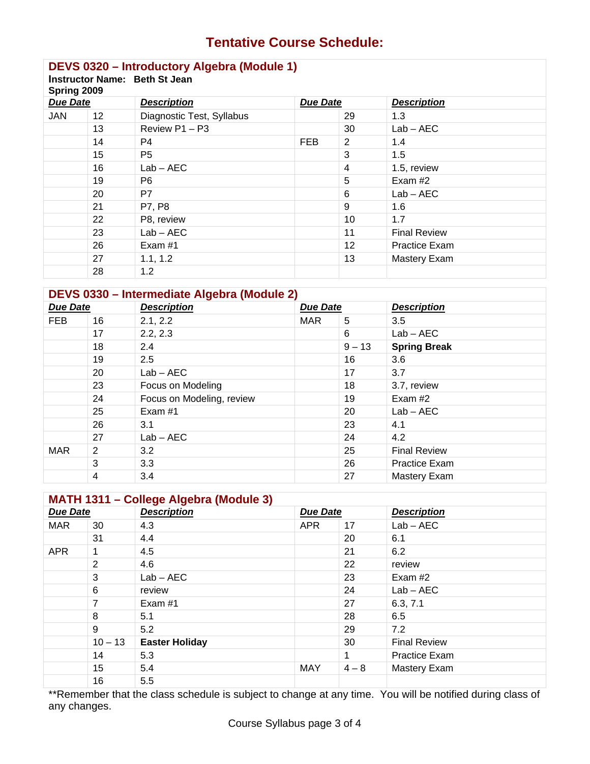# **Tentative Course Schedule:**

# **DEVS 0320 – Introductory Algebra (Module 1)**

| Instructor Name: Beth St Jean |  |
|-------------------------------|--|
|                               |  |

| Spring 2009     |    |                           |                 |                   |                      |  |
|-----------------|----|---------------------------|-----------------|-------------------|----------------------|--|
| <b>Due Date</b> |    | <b>Description</b>        | <b>Due Date</b> |                   | <b>Description</b>   |  |
| <b>JAN</b>      | 12 | Diagnostic Test, Syllabus |                 | 29                | 1.3                  |  |
|                 | 13 | Review P1 - P3            |                 | 30                | $Lab - AEC$          |  |
|                 | 14 | P <sub>4</sub>            | <b>FEB</b>      | 2                 | 1.4                  |  |
|                 | 15 | P <sub>5</sub>            |                 | 3                 | 1.5                  |  |
|                 | 16 | $Lab - AEC$               |                 | 4                 | 1.5, review          |  |
|                 | 19 | P <sub>6</sub>            |                 | 5                 | Exam #2              |  |
|                 | 20 | P7                        |                 | 6                 | $Lab - AEC$          |  |
|                 | 21 | P7, P8                    |                 | 9                 | 1.6                  |  |
|                 | 22 | P8, review                |                 | 10                | 1.7                  |  |
|                 | 23 | $Lab - AEC$               |                 | 11                | <b>Final Review</b>  |  |
|                 | 26 | Exam #1                   |                 | $12 \overline{ }$ | <b>Practice Exam</b> |  |
|                 | 27 | 1.1, 1.2                  |                 | 13                | Mastery Exam         |  |
|                 | 28 | 1.2                       |                 |                   |                      |  |

### **DEVS 0330 – Intermediate Algebra (Module 2)**

| <b>Due Date</b> |    | <b>Description</b>        | <b>Due Date</b> |          | <b>Description</b>   |
|-----------------|----|---------------------------|-----------------|----------|----------------------|
| <b>FEB</b>      | 16 | 2.1, 2.2                  | <b>MAR</b>      | 5        | 3.5                  |
|                 | 17 | 2.2, 2.3                  |                 | 6        | $Lab - AEC$          |
|                 | 18 | 2.4                       |                 | $9 - 13$ | <b>Spring Break</b>  |
|                 | 19 | 2.5                       |                 | 16       | 3.6                  |
|                 | 20 | $Lab - AEC$               |                 | 17       | 3.7                  |
|                 | 23 | Focus on Modeling         |                 | 18       | 3.7, review          |
|                 | 24 | Focus on Modeling, review |                 | 19       | Exam #2              |
|                 | 25 | Exam #1                   |                 | 20       | $Lab - AEC$          |
|                 | 26 | 3.1                       |                 | 23       | 4.1                  |
|                 | 27 | $Lab - AEC$               |                 | 24       | 4.2                  |
| <b>MAR</b>      | 2  | 3.2                       |                 | 25       | <b>Final Review</b>  |
|                 | 3  | 3.3                       |                 | 26       | <b>Practice Exam</b> |
|                 | 4  | 3.4                       |                 | 27       | <b>Mastery Exam</b>  |

## **MATH 1311 – College Algebra (Module 3)**

| <b>Due Date</b> |           | $\tilde{\phantom{a}}$<br><b>Description</b> | <b>Due Date</b> |         | <b>Description</b>  |
|-----------------|-----------|---------------------------------------------|-----------------|---------|---------------------|
| <b>MAR</b>      | 30        | 4.3                                         | <b>APR</b>      | 17      | $Lab - AEC$         |
|                 | 31        | 4.4                                         |                 | 20      | 6.1                 |
| <b>APR</b>      |           | 4.5                                         |                 | 21      | 6.2                 |
|                 | 2         | 4.6                                         |                 | 22      | review              |
|                 | 3         | $Lab - AEC$                                 |                 | 23      | Exam #2             |
|                 | 6         | review                                      |                 | 24      | $Lab - AEC$         |
|                 | 7         | Exam #1                                     |                 | 27      | 6.3, 7.1            |
|                 | 8         | 5.1                                         |                 | 28      | 6.5                 |
|                 | 9         | 5.2                                         |                 | 29      | 7.2                 |
|                 | $10 - 13$ | <b>Easter Holiday</b>                       |                 | 30      | <b>Final Review</b> |
|                 | 14        | 5.3                                         |                 | 1       | Practice Exam       |
|                 | 15        | 5.4                                         | <b>MAY</b>      | $4 - 8$ | Mastery Exam        |
|                 | 16        | 5.5                                         |                 |         |                     |

\*\*Remember that the class schedule is subject to change at any time. You will be notified during class of any changes.